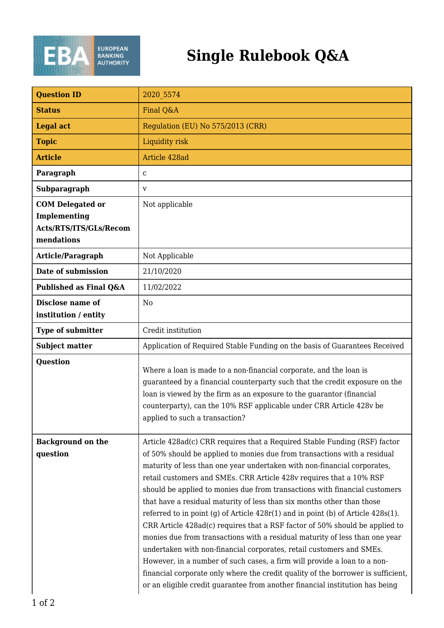

## **Single Rulebook Q&A**

| <b>Question ID</b>                                                              | 2020 5574                                                                                                                                                                                                                                                                                                                                                                                                                                                                                                                                                                                                                                                                                                                                                                                                                                                                                                                                                                                                                                       |
|---------------------------------------------------------------------------------|-------------------------------------------------------------------------------------------------------------------------------------------------------------------------------------------------------------------------------------------------------------------------------------------------------------------------------------------------------------------------------------------------------------------------------------------------------------------------------------------------------------------------------------------------------------------------------------------------------------------------------------------------------------------------------------------------------------------------------------------------------------------------------------------------------------------------------------------------------------------------------------------------------------------------------------------------------------------------------------------------------------------------------------------------|
| <b>Status</b>                                                                   | Final Q&A                                                                                                                                                                                                                                                                                                                                                                                                                                                                                                                                                                                                                                                                                                                                                                                                                                                                                                                                                                                                                                       |
| <b>Legal act</b>                                                                | Regulation (EU) No 575/2013 (CRR)                                                                                                                                                                                                                                                                                                                                                                                                                                                                                                                                                                                                                                                                                                                                                                                                                                                                                                                                                                                                               |
| <b>Topic</b>                                                                    | Liquidity risk                                                                                                                                                                                                                                                                                                                                                                                                                                                                                                                                                                                                                                                                                                                                                                                                                                                                                                                                                                                                                                  |
| <b>Article</b>                                                                  | Article 428ad                                                                                                                                                                                                                                                                                                                                                                                                                                                                                                                                                                                                                                                                                                                                                                                                                                                                                                                                                                                                                                   |
| Paragraph                                                                       | C                                                                                                                                                                                                                                                                                                                                                                                                                                                                                                                                                                                                                                                                                                                                                                                                                                                                                                                                                                                                                                               |
| Subparagraph                                                                    | V                                                                                                                                                                                                                                                                                                                                                                                                                                                                                                                                                                                                                                                                                                                                                                                                                                                                                                                                                                                                                                               |
| <b>COM Delegated or</b><br>Implementing<br>Acts/RTS/ITS/GLs/Recom<br>mendations | Not applicable                                                                                                                                                                                                                                                                                                                                                                                                                                                                                                                                                                                                                                                                                                                                                                                                                                                                                                                                                                                                                                  |
| Article/Paragraph                                                               | Not Applicable                                                                                                                                                                                                                                                                                                                                                                                                                                                                                                                                                                                                                                                                                                                                                                                                                                                                                                                                                                                                                                  |
| Date of submission                                                              | 21/10/2020                                                                                                                                                                                                                                                                                                                                                                                                                                                                                                                                                                                                                                                                                                                                                                                                                                                                                                                                                                                                                                      |
| Published as Final Q&A                                                          | 11/02/2022                                                                                                                                                                                                                                                                                                                                                                                                                                                                                                                                                                                                                                                                                                                                                                                                                                                                                                                                                                                                                                      |
| Disclose name of<br>institution / entity                                        | N <sub>0</sub>                                                                                                                                                                                                                                                                                                                                                                                                                                                                                                                                                                                                                                                                                                                                                                                                                                                                                                                                                                                                                                  |
| <b>Type of submitter</b>                                                        | Credit institution                                                                                                                                                                                                                                                                                                                                                                                                                                                                                                                                                                                                                                                                                                                                                                                                                                                                                                                                                                                                                              |
| <b>Subject matter</b>                                                           | Application of Required Stable Funding on the basis of Guarantees Received                                                                                                                                                                                                                                                                                                                                                                                                                                                                                                                                                                                                                                                                                                                                                                                                                                                                                                                                                                      |
| <b>Question</b>                                                                 | Where a loan is made to a non-financial corporate, and the loan is<br>guaranteed by a financial counterparty such that the credit exposure on the<br>loan is viewed by the firm as an exposure to the guarantor (financial<br>counterparty), can the 10% RSF applicable under CRR Article 428v be<br>applied to such a transaction?                                                                                                                                                                                                                                                                                                                                                                                                                                                                                                                                                                                                                                                                                                             |
| <b>Background on the</b><br>question                                            | Article 428ad(c) CRR requires that a Required Stable Funding (RSF) factor<br>of 50% should be applied to monies due from transactions with a residual<br>maturity of less than one year undertaken with non-financial corporates,<br>retail customers and SMEs. CRR Article 428v requires that a 10% RSF<br>should be applied to monies due from transactions with financial customers<br>that have a residual maturity of less than six months other than those<br>referred to in point (g) of Article $428r(1)$ and in point (b) of Article $428s(1)$ .<br>CRR Article 428ad(c) requires that a RSF factor of 50% should be applied to<br>monies due from transactions with a residual maturity of less than one year<br>undertaken with non-financial corporates, retail customers and SMEs.<br>However, in a number of such cases, a firm will provide a loan to a non-<br>financial corporate only where the credit quality of the borrower is sufficient,<br>or an eligible credit guarantee from another financial institution has being |